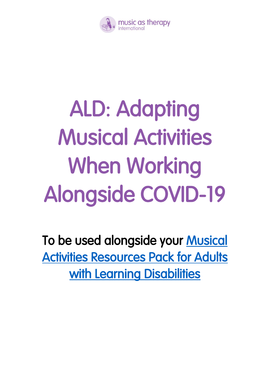

## ALD: Adapting Musical Activities When Working Alongside COVID-19

To be used alongside your [Musical](http://www.musicastherapy.org/uploads/MasT_ALD_Resource_Book_PDF.pdf)  [Activities Resources Pack for Adults](http://www.musicastherapy.org/uploads/MasT_ALD_Resource_Book_PDF.pdf)  with Learning Disabilities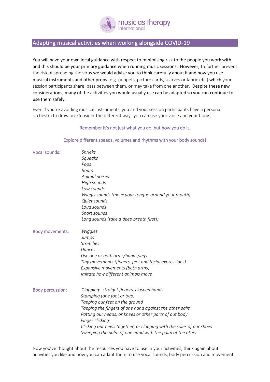

## Adapting musical activities when working alongside COVID-19

You will have your own local guidance with respect to minimising risk to the people you work with and this should be your primary guidance when running music sessions. However, to further prevent the risk of spreading the virus we would advise you to think carefully about if and how you use musical instruments and other props (e.g. puppets, picture cards, scarves or fabric etc.) which your session participants share, pass between them, or may take from one another. Despite these new considerations, many of the activities you would usually use can be adapted so you can continue to use them safely.

Even if you're avoiding musical instruments, you and your session participants have a personal orchestra to draw on: Consider the different ways you can use your voice and your body!

## Remember it's not just what you do, but how you do it.

## Explore different speeds, volumes and rhythms with your body sounds!

| <b>Vocal sounds:</b>    | <b>Shrieks</b>                                                                                                                   |
|-------------------------|----------------------------------------------------------------------------------------------------------------------------------|
|                         | Squeaks                                                                                                                          |
|                         | Pops                                                                                                                             |
|                         | Roars                                                                                                                            |
|                         | Animal noises                                                                                                                    |
|                         | High sounds                                                                                                                      |
|                         | Low sounds                                                                                                                       |
|                         | Wiggly sounds (move your tongue around your mouth)                                                                               |
|                         | Quiet sounds                                                                                                                     |
|                         | Loud sounds                                                                                                                      |
|                         | Short sounds                                                                                                                     |
|                         | Long sounds (take a deep breath first!)                                                                                          |
| <b>Body movements:</b>  | Wiggles                                                                                                                          |
|                         | Jumps                                                                                                                            |
|                         | <b>Stretches</b>                                                                                                                 |
|                         | Dances                                                                                                                           |
|                         | Use one or both arms/hands/legs                                                                                                  |
|                         | Tiny movements (fingers, feet and facial expressions)                                                                            |
|                         | Expansive movements (both arms)                                                                                                  |
|                         | Imitate how different animals move                                                                                               |
| <b>Body percussion:</b> | Clapping: straight fingers, clasped hands                                                                                        |
|                         | Stamping (one foot or two)                                                                                                       |
|                         | Tapping our feet on the ground                                                                                                   |
|                         | Tapping the fingers of one hand against the other palm                                                                           |
|                         | Patting our heads, or knees or other parts of out body                                                                           |
|                         |                                                                                                                                  |
|                         | Finger clicking                                                                                                                  |
|                         | Clicking our heels together, or clapping with the soles of our shoes<br>Sweeping the palm of one hand with the palm of the other |

Now you've thought about the resources you have to use in your activities, think again about activities you like and how you can adapt them to use vocal sounds, body percussion and movement